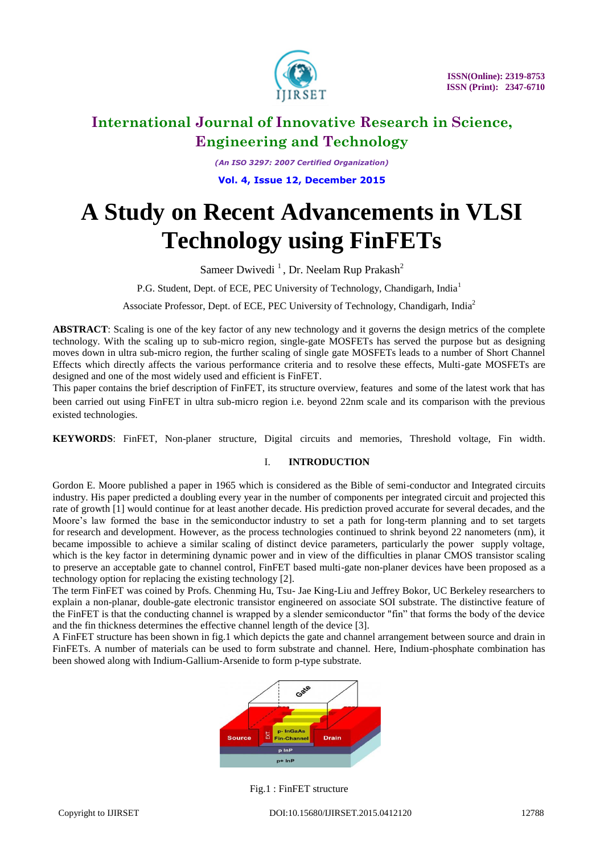

*(An ISO 3297: 2007 Certified Organization)* **Vol. 4, Issue 12, December 2015** 

# **A Study on Recent Advancements in VLSI Technology using FinFETs**

Sameer Dwivedi<sup>1</sup>, Dr. Neelam Rup Prakash<sup>2</sup>

P.G. Student, Dept. of ECE, PEC University of Technology, Chandigarh, India<sup>1</sup>

Associate Professor, Dept. of ECE, PEC University of Technology, Chandigarh, India<sup>2</sup>

**ABSTRACT**: Scaling is one of the key factor of any new technology and it governs the design metrics of the complete technology. With the scaling up to sub-micro region, single-gate MOSFETs has served the purpose but as designing moves down in ultra sub-micro region, the further scaling of single gate MOSFETs leads to a number of Short Channel Effects which directly affects the various performance criteria and to resolve these effects, Multi-gate MOSFETs are designed and one of the most widely used and efficient is FinFET.

This paper contains the brief description of FinFET, its structure overview, features and some of the latest work that has been carried out using FinFET in ultra sub-micro region i.e. beyond 22nm scale and its comparison with the previous existed technologies.

**KEYWORDS**: FinFET, Non-planer structure, Digital circuits and memories, Threshold voltage, Fin width.

### I. **INTRODUCTION**

[Gordon E. Moore](https://en.wikipedia.org/wiki/Gordon_Moore) published a paper in 1965 which is considered as the Bible of semi-conductor and Integrated circuits industry. His paper predicted a [doubling every year](https://en.wikipedia.org/wiki/Exponential_growth) in the number of components per integrated circuit and projected this rate of growth [1] would continue for at least another decade. His prediction proved accurate for several decades, and the Moore's law formed the base in the [semiconductor](https://en.wikipedia.org/wiki/Semiconductor) industry to set a path for long-term planning and to set targets for [research and development.](https://en.wikipedia.org/wiki/Research_and_development) However, as the process technologies continued to shrink beyond 22 nanometers (nm), it became impossible to achieve a similar scaling of distinct device parameters, particularly the power supply voltage, which is the key factor in determining dynamic power and in view of the difficulties in planar CMOS transistor scaling to preserve an acceptable gate to channel control, FinFET based multi-gate non-planer devices have been proposed as a technology option for replacing the existing technology [2].

The term FinFET was coined by Profs. Chenming Hu, Tsu- Jae King-Liu and Jeffrey Bokor, UC Berkeley researchers to explain a non-planar, double-gate electronic transistor engineered on associate SOI substrate. The distinctive feature of the FinFET is that the conducting channel is wrapped by a slender semiconductor "fin" that forms the body of the device and the fin thickness determines the effective channel length of the device [3].

A FinFET structure has been shown in fig.1 which depicts the gate and channel arrangement between source and drain in FinFETs. A number of materials can be used to form substrate and channel. Here, Indium-phosphate combination has been showed along with Indium-Gallium-Arsenide to form p-type substrate.



Fig.1 : FinFET structure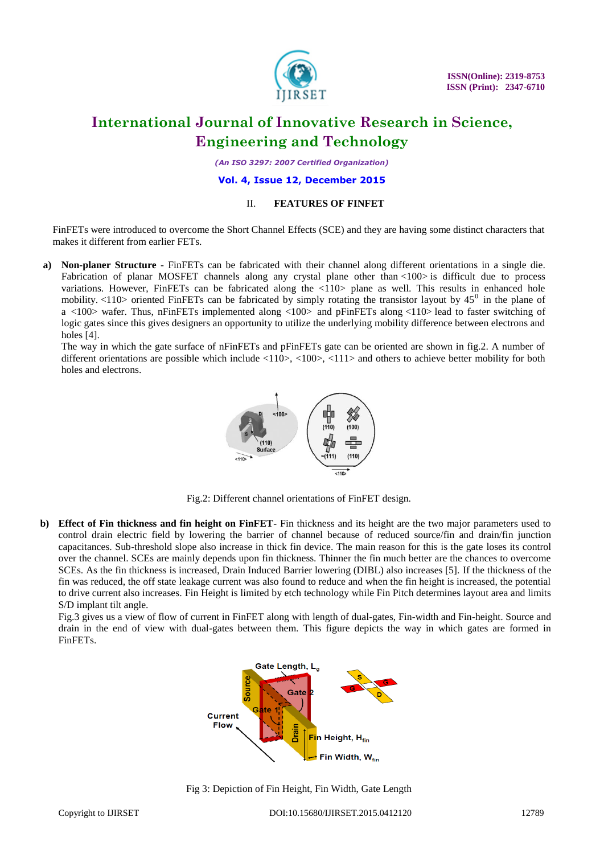

 **ISSN(Online): 2319-8753 ISSN (Print): 2347-6710** 

# **International Journal of Innovative Research in Science, Engineering and Technology**

*(An ISO 3297: 2007 Certified Organization)*

#### **Vol. 4, Issue 12, December 2015**

#### II. **FEATURES OF FINFET**

FinFETs were introduced to overcome the Short Channel Effects (SCE) and they are having some distinct characters that makes it different from earlier FETs.

**a) Non-planer Structure** - FinFETs can be fabricated with their channel along different orientations in a single die. Fabrication of planar MOSFET channels along any crystal plane other than <100> is difficult due to process variations. However, FinFETs can be fabricated along the <110> plane as well. This results in enhanced hole mobility. <110> oriented FinFETs can be fabricated by simply rotating the transistor layout by  $45^{\circ}$  in the plane of a <100> wafer. Thus, nFinFETs implemented along <100> and pFinFETs along <110> lead to faster switching of logic gates since this gives designers an opportunity to utilize the underlying mobility difference between electrons and holes [4].

The way in which the gate surface of nFinFETs and pFinFETs gate can be oriented are shown in fig.2. A number of different orientations are possible which include <110>, <100>, <111> and others to achieve better mobility for both holes and electrons.



Fig.2: Different channel orientations of FinFET design.

**b) Effect of Fin thickness and fin height on FinFET-** Fin thickness and its height are the two major parameters used to control drain electric field by lowering the barrier of channel because of reduced source/fin and drain/fin junction capacitances. Sub-threshold slope also increase in thick fin device. The main reason for this is the gate loses its control over the channel. SCEs are mainly depends upon fin thickness. Thinner the fin much better are the chances to overcome SCEs. As the fin thickness is increased, Drain Induced Barrier lowering (DIBL) also increases [5]. If the thickness of the fin was reduced, the off state leakage current was also found to reduce and when the fin height is increased, the potential to drive current also increases. Fin Height is limited by etch technology while Fin Pitch determines layout area and limits S/D implant tilt angle.

Fig.3 gives us a view of flow of current in FinFET along with length of dual-gates, Fin-width and Fin-height. Source and drain in the end of view with dual-gates between them. This figure depicts the way in which gates are formed in FinFETs.



Fig 3: Depiction of Fin Height, Fin Width, Gate Length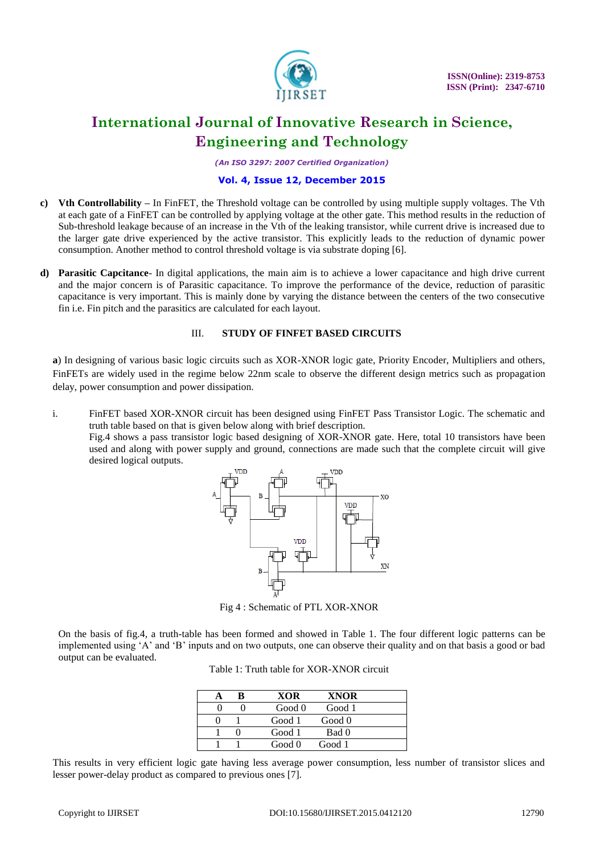

*(An ISO 3297: 2007 Certified Organization)*

### **Vol. 4, Issue 12, December 2015**

- **c) Vth Controllability –** In FinFET, the Threshold voltage can be controlled by using multiple supply voltages. The Vth at each gate of a FinFET can be controlled by applying voltage at the other gate. This method results in the reduction of Sub-threshold leakage because of an increase in the Vth of the leaking transistor, while current drive is increased due to the larger gate drive experienced by the active transistor. This explicitly leads to the reduction of dynamic power consumption. Another method to control threshold voltage is via substrate doping [6].
- **d) Parasitic Capcitance** In digital applications, the main aim is to achieve a lower capacitance and high drive current and the major concern is of Parasitic capacitance. To improve the performance of the device, reduction of parasitic capacitance is very important. This is mainly done by varying the distance between the centers of the two consecutive fin i.e. Fin pitch and the parasitics are calculated for each layout.

#### III. **STUDY OF FINFET BASED CIRCUITS**

**a**) In designing of various basic logic circuits such as XOR-XNOR logic gate, Priority Encoder, Multipliers and others, FinFETs are widely used in the regime below 22nm scale to observe the different design metrics such as propagation delay, power consumption and power dissipation.

i. FinFET based XOR-XNOR circuit has been designed using FinFET Pass Transistor Logic. The schematic and truth table based on that is given below along with brief description.

Fig.4 shows a pass transistor logic based designing of XOR-XNOR gate. Here, total 10 transistors have been used and along with power supply and ground, connections are made such that the complete circuit will give desired logical outputs.



Fig 4 : Schematic of PTL XOR-XNOR

On the basis of fig.4, a truth-table has been formed and showed in Table 1. The four different logic patterns can be implemented using "A" and "B" inputs and on two outputs, one can observe their quality and on that basis a good or bad output can be evaluated.

Table 1: Truth table for XOR-XNOR circuit

|  | XOR    | <b>XNOR</b> |  |
|--|--------|-------------|--|
|  | Good 0 | Good 1      |  |
|  | Good 1 | Good 0      |  |
|  | Good 1 | Bad 0       |  |
|  | Good 0 | Good 1      |  |

This results in very efficient logic gate having less average power consumption, less number of transistor slices and lesser power-delay product as compared to previous ones [7].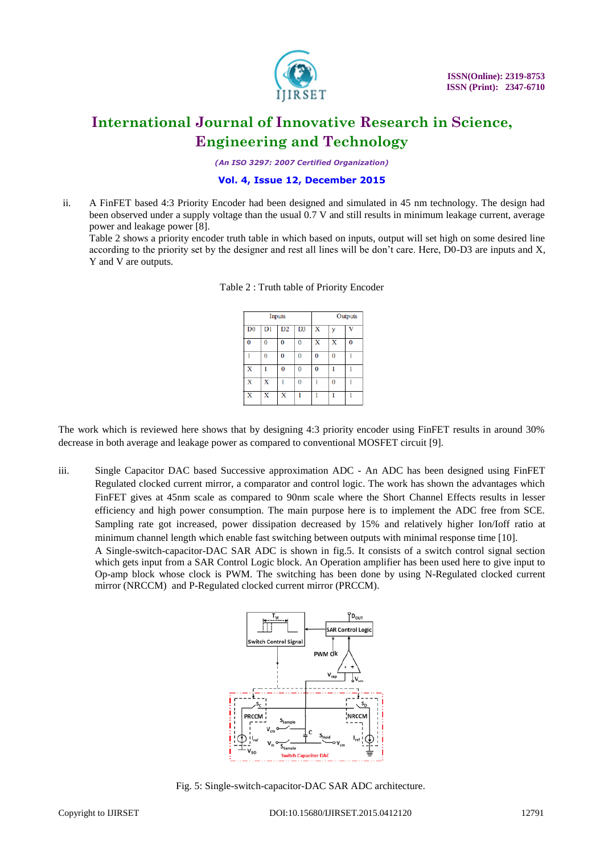

*(An ISO 3297: 2007 Certified Organization)*

### **Vol. 4, Issue 12, December 2015**

ii. A FinFET based 4:3 Priority Encoder had been designed and simulated in 45 nm technology. The design had been observed under a supply voltage than the usual 0.7 V and still results in minimum leakage current, average power and leakage power [8].

Table 2 shows a priority encoder truth table in which based on inputs, output will set high on some desired line according to the priority set by the designer and rest all lines will be don"t care. Here, D0-D3 are inputs and X, Y and V are outputs.

| Inputs         |    |    |                | Outputs  |          |   |
|----------------|----|----|----------------|----------|----------|---|
| D <sub>0</sub> | D1 | D2 | D <sub>3</sub> | х        |          |   |
| Ō              | 0  | 0  | $\bf{0}$       | x        | x        | 0 |
|                | 0  | 0  | $\bf{0}$       | 0        | $\bf{0}$ |   |
| X              |    | 0  | $\bf{0}$       | $\Omega$ |          |   |
| X              | x  |    | 0              |          | $\bf{0}$ |   |
| x              | X  | X  |                |          |          |   |

Table 2 : Truth table of Priority Encoder

The work which is reviewed here shows that by designing 4:3 priority encoder using FinFET results in around 30% decrease in both average and leakage power as compared to conventional MOSFET circuit [9].

iii. Single Capacitor DAC based Successive approximation ADC - An ADC has been designed using FinFET Regulated clocked current mirror, a comparator and control logic. The work has shown the advantages which FinFET gives at 45nm scale as compared to 90nm scale where the Short Channel Effects results in lesser efficiency and high power consumption. The main purpose here is to implement the ADC free from SCE. Sampling rate got increased, power dissipation decreased by 15% and relatively higher Ion/Ioff ratio at minimum channel length which enable fast switching between outputs with minimal response time [10].

A Single-switch-capacitor-DAC SAR ADC is shown in fig.5. It consists of a switch control signal section which gets input from a SAR Control Logic block. An Operation amplifier has been used here to give input to Op-amp block whose clock is PWM. The switching has been done by using N-Regulated clocked current mirror (NRCCM) and P-Regulated clocked current mirror (PRCCM).



Fig. 5: Single-switch-capacitor-DAC SAR ADC architecture.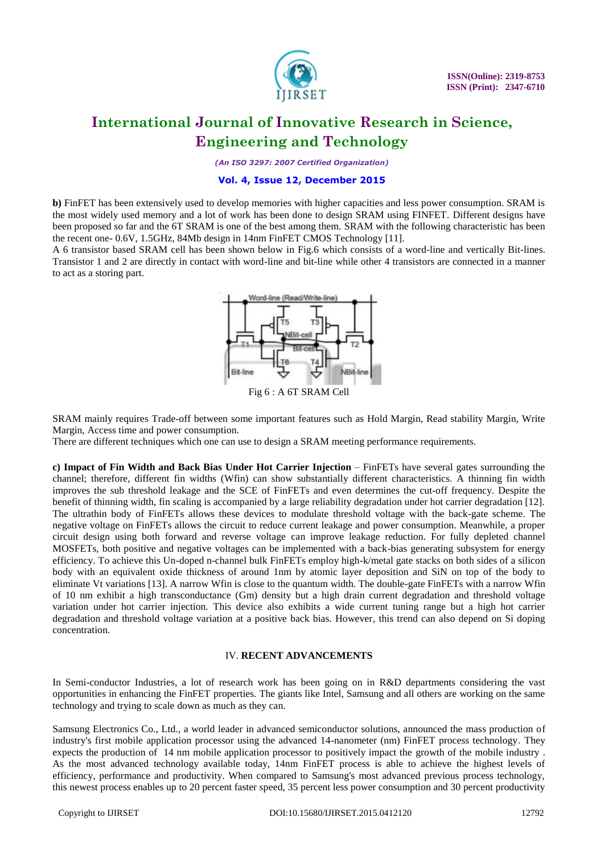

*(An ISO 3297: 2007 Certified Organization)*

### **Vol. 4, Issue 12, December 2015**

**b)** FinFET has been extensively used to develop memories with higher capacities and less power consumption. SRAM is the most widely used memory and a lot of work has been done to design SRAM using FINFET. Different designs have been proposed so far and the 6T SRAM is one of the best among them. SRAM with the following characteristic has been the recent one- 0.6V, 1.5GHz, 84Mb design in 14nm FinFET CMOS Technology [11].

A 6 transistor based SRAM cell has been shown below in Fig.6 which consists of a word-line and vertically Bit-lines. Transistor 1 and 2 are directly in contact with word-line and bit-line while other 4 transistors are connected in a manner to act as a storing part.



SRAM mainly requires Trade-off between some important features such as Hold Margin, Read stability Margin, Write Margin, Access time and power consumption.

There are different techniques which one can use to design a SRAM meeting performance requirements.

**c) Impact of Fin Width and Back Bias Under Hot Carrier Injection** – FinFETs have several gates surrounding the channel; therefore, different fin widths (Wfin) can show substantially different characteristics. A thinning fin width improves the sub threshold leakage and the SCE of FinFETs and even determines the cut-off frequency. Despite the benefit of thinning width, fin scaling is accompanied by a large reliability degradation under hot carrier degradation [12]. The ultrathin body of FinFETs allows these devices to modulate threshold voltage with the back-gate scheme. The negative voltage on FinFETs allows the circuit to reduce current leakage and power consumption. Meanwhile, a proper circuit design using both forward and reverse voltage can improve leakage reduction. For fully depleted channel MOSFETs, both positive and negative voltages can be implemented with a back-bias generating subsystem for energy efficiency. To achieve this Un-doped n-channel bulk FinFETs employ high-k/metal gate stacks on both sides of a silicon body with an equivalent oxide thickness of around 1nm by atomic layer deposition and SiN on top of the body to eliminate Vt variations [13]. A narrow Wfin is close to the quantum width. The double-gate FinFETs with a narrow Wfin of 10 nm exhibit a high transconductance (Gm) density but a high drain current degradation and threshold voltage variation under hot carrier injection. This device also exhibits a wide current tuning range but a high hot carrier degradation and threshold voltage variation at a positive back bias. However, this trend can also depend on Si doping concentration.

#### IV. **RECENT ADVANCEMENTS**

In Semi-conductor Industries, a lot of research work has been going on in R&D departments considering the vast opportunities in enhancing the FinFET properties. The giants like Intel, Samsung and all others are working on the same technology and trying to scale down as much as they can.

Samsung Electronics Co., Ltd., a world leader in advanced semiconductor solutions, announced the mass production of industry's first mobile application processor using the advanced 14-nanometer (nm) FinFET process technology. They expects the production of 14 nm mobile application processor to positively impact the growth of the mobile industry . As the most advanced technology available today, 14nm FinFET process is able to achieve the highest levels of efficiency, performance and productivity. When compared to Samsung's most advanced previous process technology, this newest process enables up to 20 percent faster speed, 35 percent less power consumption and 30 percent productivity